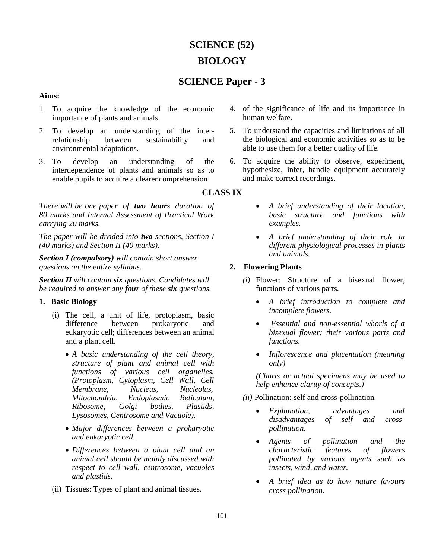# **SCIENCE (52) BIOLOGY**

## **SCIENCE Paper - 3**

#### **Aims:**

- 1. To acquire the knowledge of the economic importance of plants and animals.
- 2. To develop an understanding of the interrelationship between sustainability and environmental adaptations.
- 3. To develop an understanding of the interdependence of plants and animals so as to enable pupils to acquire a clearer comprehension

*There will be one paper of two hours duration of 80 marks and Internal Assessment of Practical Work carrying 20 marks.*

*The paper will be divided into two sections, Section I (40 marks) and Section II (40 marks).*

*Section I (compulsory) will contain short answer questions on the entire syllabus.*

*Section II will contain six questions. Candidates will be required to answer any four of these six questions.*

## **1. Basic Biology**

- (i) The cell, a unit of life, protoplasm, basic difference between prokaryotic and eukaryotic cell; differences between an animal and a plant cell.
	- *A basic understanding of the cell theory, structure of plant and animal cell with functions of various cell organelles. (Protoplasm, Cytoplasm, Cell Wall, Cell Membrane, Nucleus, Nucleolus, Mitochondria, Endoplasmic Reticulum, Ribosome, Golgi bodies, Plastids, Lysosomes, Centrosome and Vacuole).*
	- *Major differences between a prokaryotic and eukaryotic cell.*
	- *Differences between a plant cell and an animal cell should be mainly discussed with respect to cell wall, centrosome, vacuoles and plastids.*
- (ii) Tissues: Types of plant and animal tissues.
- 4. of the significance of life and its importance in human welfare.
- 5. To understand the capacities and limitations of all the biological and economic activities so as to be able to use them for a better quality of life.
- 6. To acquire the ability to observe, experiment, hypothesize, infer, handle equipment accurately and make correct recordings.

## **CLASS IX**

- *A brief understanding of their location, basic structure and functions with examples.*
- *A brief understanding of their role in different physiological processes in plants and animals.*

## **2. Flowering Plants**

- *(i)* Flower: Structure of a bisexual flower, functions of various parts*.*
	- *A brief introduction to complete and incomplete flowers.*
	- *Essential and non-essential whorls of a bisexual flower; their various parts and functions.*
	- *Inflorescence and placentation (meaning only)*

*(Charts or actual specimens may be used to help enhance clarity of concepts.)*

*(ii)* Pollination: self and cross-pollination*.*

- *Explanation, advantages and disadvantages of self and crosspollination.*
- *Agents of pollination and the characteristic features of flowers pollinated by various agents such as insects, wind, and water.*
- *A brief idea as to how nature favours cross pollination.*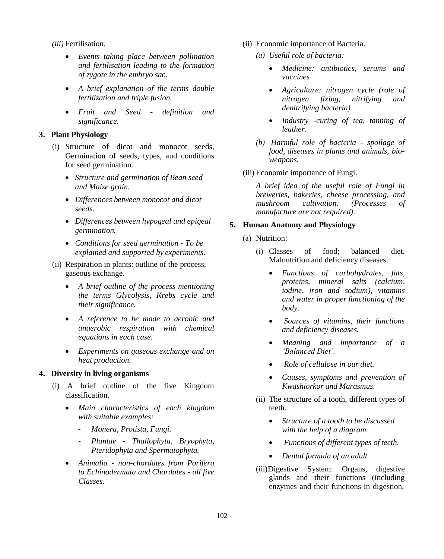*(iii)* Fertilisation*.*

- *Events taking place between pollination and fertilisation leading to the formation of zygote in the embryo sac.*
- *A brief explanation of the terms double fertilization and triple fusion.*
- *Fruit and Seed - definition and significance.*

## **3. Plant Physiology**

- (i) Structure of dicot and monocot seeds, Germination of seeds, types, and conditions for seed germination.
	- *Structure and germination of Bean seed and Maize grain.*
	- *Differences between monocot and dicot seeds.*
	- *Differences between hypogeal and epigeal germination.*
	- *Conditions for seed germination - To be explained and supported by experiments.*
- (ii) Respiration in plants: outline of the process, gaseous exchange.
	- *A brief outline of the process mentioning the terms Glycolysis, Krebs cycle and their significance.*
	- *A reference to be made to aerobic and anaerobic respiration with chemical equations in each case.*
	- *Experiments on gaseous exchange and on heat production.*

#### **4. Diversity in living organisms**

- (i) A brief outline of the five Kingdom classification.
	- *Main characteristics of each kingdom with suitable examples:*
		- *Monera, Protista, Fungi.*
		- *Plantae - Thallophyta, Bryophyta, Pteridophyta and Spermatophyta.*
	- *Animalia - non-chordates from Porifera to Echinodermata and Chordates - all five Classes.*
- (ii) Economic importance of Bacteria.
	- *(a) Useful role of bacteria:*
		- *Medicine: antibiotics, serums and vaccines*
		- *Agriculture: nitrogen cycle (role of nitrogen fixing, nitrifying and denitrifying bacteria)*
		- *Industry -curing of tea, tanning of leather.*
	- *(b) Harmful role of bacteria - spoilage of food, diseases in plants and animals, bioweapons.*
- (iii) Economic importance of Fungi.

*A brief idea of the useful role of Fungi in breweries, bakeries, cheese processing, and mushroom cultivation. (Processes of manufacture are not required).*

## **5. Human Anatomy and Physiology**

- (a) Nutrition:
	- (i) Classes of food; balanced diet. Malnutrition and deficiency diseases.
		- *Functions of carbohydrates, fats, proteins, mineral salts (calcium, iodine, iron and sodium), vitamins and water in proper functioning of the body.*
		- *Sources of vitamins, their functions and deficiency diseases.*
		- *Meaning and importance of a 'Balanced Diet'.*
		- *Role of cellulose in our diet.*
		- *Causes, symptoms and prevention of Kwashiorkor and Marasmus.*
	- (ii) The structure of a tooth, different types of teeth.
		- *Structure of a tooth to be discussed with the help of a diagram.*
		- *Functions of different types of teeth.*
		- *Dental formula of an adult.*
	- (iii)Digestive System: Organs, digestive glands and their functions (including enzymes and their functions in digestion,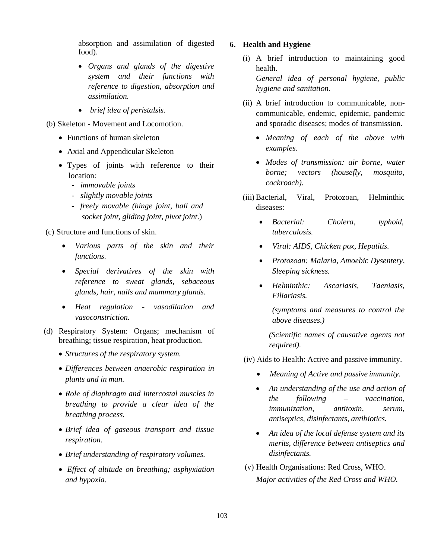absorption and assimilation of digested food).

- *Organs and glands of the digestive system and their functions with reference to digestion, absorption and assimilation.*
- *brief idea of peristalsis.*
- (b) Skeleton Movement and Locomotion.
	- Functions of human skeleton
	- Axial and Appendicular Skeleton
	- Types of joints with reference to their location*:*
		- *- immovable joints*
		- *- slightly movable joints*
		- *- freely movable (hinge joint, ball and socket joint, gliding joint, pivot joint*.)

(c) Structure and functions of skin.

- *Various parts of the skin and their functions.*
- *Special derivatives of the skin with reference to sweat glands, sebaceous glands, hair, nails and mammary glands.*
- *Heat regulation - vasodilation and vasoconstriction.*
- (d) Respiratory System: Organs; mechanism of breathing; tissue respiration, heat production.
	- *Structures of the respiratory system.*
	- *Differences between anaerobic respiration in plants and in man.*
	- *Role of diaphragm and intercostal muscles in breathing to provide a clear idea of the breathing process.*
	- *Brief idea of gaseous transport and tissue respiration.*
	- *Brief understanding of respiratory volumes.*
	- *Effect of altitude on breathing; asphyxiation and hypoxia.*

#### **6. Health and Hygiene**

- (i) A brief introduction to maintaining good health. *General idea of personal hygiene, public hygiene and sanitation.*
- (ii) A brief introduction to communicable, noncommunicable, endemic, epidemic, pandemic and sporadic diseases; modes of transmission.
	- *Meaning of each of the above with examples.*
	- *Modes of transmission: air borne, water borne; vectors (housefly, mosquito, cockroach).*
- (iii) Bacterial, Viral, Protozoan, Helminthic diseases:
	- *Bacterial: Cholera, typhoid, tuberculosis.*
	- *Viral: AIDS, Chicken pox, Hepatitis.*
	- *Protozoan: Malaria, Amoebic Dysentery, Sleeping sickness.*
	- *Helminthic: Ascariasis, Taeniasis, Filiariasis.*

*(symptoms and measures to control the above diseases.)*

*(Scientific names of causative agents not required).*

- (iv) Aids to Health: Active and passive immunity.
	- *Meaning of Active and passive immunity.*
	- *An understanding of the use and action of the following – vaccination, immunization, antitoxin, serum, antiseptics, disinfectants, antibiotics.*
	- *An idea of the local defense system and its merits, difference between antiseptics and disinfectants.*
- (v) Health Organisations: Red Cross, WHO. *Major activities of the Red Cross and WHO.*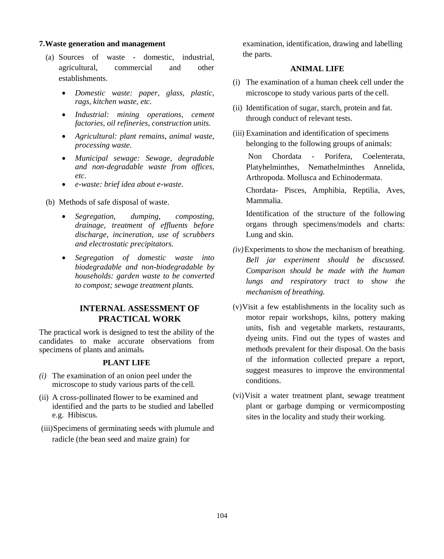#### **7.Waste generation and management**

- (a) Sources of waste domestic, industrial, agricultural, commercial and other establishments.
	- *Domestic waste: paper, glass, plastic, rags, kitchen waste, etc.*
	- *Industrial: mining operations, cement factories, oil refineries, construction units.*
	- *Agricultural: plant remains, animal waste, processing waste.*
	- *Municipal sewage: Sewage, degradable and non-degradable waste from offices, etc.*
	- *e-waste: brief idea about e-waste.*

(b) Methods of safe disposal of waste.

- *Segregation, dumping, composting, drainage, treatment of effluents before discharge, incineration, use of scrubbers and electrostatic precipitators.*
- *Segregation of domestic waste into biodegradable and non-biodegradable by households: garden waste to be converted to compost; sewage treatment plants.*

## **INTERNAL ASSESSMENT OF PRACTICAL WORK**

The practical work is designed to test the ability of the candidates to make accurate observations from specimens of plants and animals*.*

#### **PLANT LIFE**

- *(i)* The examination of an onion peel under the microscope to study various parts of the cell*.*
- (ii) A cross-pollinated flower to be examined and identified and the parts to be studied and labelled e.g. Hibiscus*.*
- (iii)Specimens of germinating seeds with plumule and radicle (the bean seed and maize grain) for

examination, identification, drawing and labelling the parts.

## **ANIMAL LIFE**

- (i) The examination of a human cheek cell under the microscope to study various parts of the cell.
- (ii) Identification of sugar, starch, protein and fat*.*  through conduct of relevant tests.
- (iii) Examination and identification of specimens belonging to the following groups of animals:

Non Chordata - Porifera, Coelenterata, Platyhelminthes, Nemathelminthes Annelida, Arthropoda. Mollusca and Echinodermata.

Chordata- Pisces, Amphibia, Reptilia, Aves, Mammalia.

Identification of the structure of the following organs through specimens/models and charts: Lung and skin.

- *(iv)*Experiments to show the mechanism of breathing. *Bell jar experiment should be discussed. Comparison should be made with the human lungs and respiratory tract to show the mechanism of breathing.*
- (v)Visit a few establishments in the locality such as motor repair workshops, kilns, pottery making units, fish and vegetable markets, restaurants, dyeing units. Find out the types of wastes and methods prevalent for their disposal. On the basis of the information collected prepare a report, suggest measures to improve the environmental conditions.
- (vi)Visit a water treatment plant, sewage treatment plant or garbage dumping or vermicomposting sites in the locality and study their working.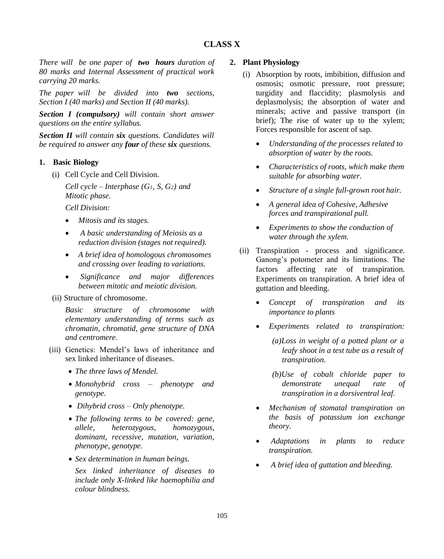*There will be one paper of two hours duration of 80 marks and Internal Assessment of practical work carrying 20 marks.*

*The paper will be divided into two sections, Section I (40 marks) and Section II (40 marks).*

*Section I (compulsory) will contain short answer questions on the entire syllabus.*

*Section II will contain six questions. Candidates will be required to answer any four of these six questions.*

## **1. Basic Biology**

(i) Cell Cycle and Cell Division.

*Cell cycle – Interphase (G1, S, G2) and Mitotic phase.*

*Cell Division:*

- *Mitosis and its stages.*
- *A basic understanding of Meiosis as a reduction division (stages not required).*
- *A brief idea of homologous chromosomes and crossing over leading to variations.*
- *Significance and major differences between mitotic and meiotic division.*
- (ii) Structure of chromosome.

*Basic structure of chromosome with elementary understanding of terms such as chromatin, chromatid, gene structure of DNA and centromere.*

- (iii) Genetics: Mendel's laws of inheritance and sex linked inheritance of diseases.
	- *The three laws of Mendel.*
	- *Monohybrid cross – phenotype and genotype.*
	- *Dihybrid cross – Only phenotype.*
	- *The following terms to be covered: gene, allele, heterozygous, homozygous, dominant, recessive, mutation, variation, phenotype, genotype.*
	- *Sex determination in human beings.*

*Sex linked inheritance of diseases to include only X-linked like haemophilia and colour blindness.*

## **2. Plant Physiology**

- (i) Absorption by roots, imbibition, diffusion and osmosis; osmotic pressure, root pressure; turgidity and flaccidity; plasmolysis and deplasmolysis; the absorption of water and minerals; active and passive transport (in brief); The rise of water up to the xylem; Forces responsible for ascent of sap.
	- *Understanding of the processes related to absorption of water by the roots.*
	- *Characteristics of roots, which make them suitable for absorbing water.*
	- *Structure of a single full-grown root hair.*
	- *A general idea of Cohesive, Adhesive forces and transpirational pull.*
	- *Experiments to show the conduction of water through the xylem.*
- (ii) Transpiration process and significance. Ganong's potometer and its limitations. The factors affecting rate of transpiration. Experiments on transpiration. A brief idea of guttation and bleeding.
	- *Concept of transpiration and its importance to plants*
	- *Experiments related to transpiration:* 
		- *(a)Loss in weight of a potted plant or a leafy shoot in a test tube as a result of transpiration.*
		- *(b)Use of cobalt chloride paper to demonstrate unequal rate of transpiration in a dorsiventral leaf.*
	- *Mechanism of stomatal transpiration on the basis of potassium ion exchange theory.*
	- *Adaptations in plants to reduce transpiration.*
	- *A brief idea of guttation and bleeding.*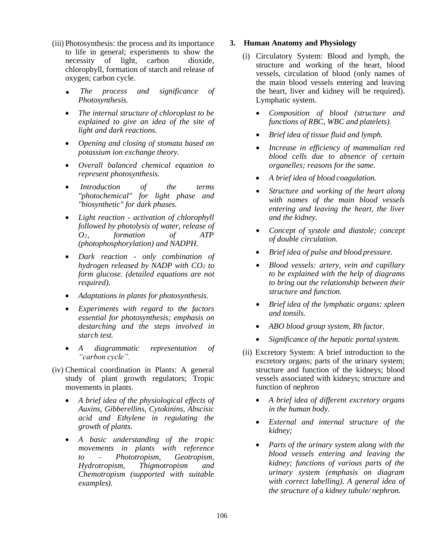- (iii) Photosynthesis: the process and its importance to life in general; experiments to show the necessity of light, carbon dioxide, chlorophyll, formation of starch and release of oxygen; carbon cycle.
	- **.** *The process and significance of Photosynthesis.*
	- *The internal structure of chloroplast to be explained to give an idea of the site of light and dark reactions.*
	- *Opening and closing of stomata based on potassium ion exchange theory.*
	- *Overall balanced chemical equation to represent photosynthesis.*
	- *Introduction of the terms "photochemical" for light phase and "biosynthetic" for dark phases.*
	- *Light reaction - activation of chlorophyll followed by photolysis of water, release of O2, formation of ATP (photophosphorylation) and NADPH.*
	- *Dark reaction - only combination of hydrogen released by NADP with CO<sup>2</sup> to form glucose. (detailed equations are not required).*
	- *Adaptations in plants for photosynthesis.*
	- *Experiments with regard to the factors essential for photosynthesis; emphasis on destarching and the steps involved in starch test.*
	- *A diagrammatic representation of "carbon cycle".*
- (iv) Chemical coordination in Plants: A general study of plant growth regulators; Tropic movements in plants.
	- *A brief idea of the physiological effects of Auxins, Gibberellins, Cytokinins, Abscisic acid and Ethylene in regulating the growth of plants.*
	- *A basic understanding of the tropic movements in plants with reference to – Phototropism, Geotropism, Hydrotropism, Thigmotropism and Chemotropism (supported with suitable examples).*

#### **3. Human Anatomy and Physiology**

- (i) Circulatory System: Blood and lymph, the structure and working of the heart, blood vessels, circulation of blood (only names of the main blood vessels entering and leaving the heart, liver and kidney will be required). Lymphatic system.
	- *Composition of blood (structure and functions of RBC, WBC and platelets).*
	- *Brief idea of tissue fluid and lymph.*
	- *Increase in efficiency of mammalian red blood cells due to absence of certain organelles; reasons for the same.*
	- *A brief idea of blood coagulation.*
	- *Structure and working of the heart along with names of the main blood vessels entering and leaving the heart, the liver and the kidney.*
	- *Concept of systole and diastole; concept of double circulation.*
	- *Brief idea of pulse and blood pressure.*
	- *Blood vessels: artery, vein and capillary to be explained with the help of diagrams to bring out the relationship between their structure and function.*
	- *Brief idea of the lymphatic organs: spleen and tonsils.*
	- *ABO blood group system, Rh factor.*
	- *Significance of the hepatic portalsystem.*
- (ii) Excretory System: A brief introduction to the excretory organs; parts of the urinary system; structure and function of the kidneys; blood vessels associated with kidneys; structure and function of nephron
	- *A brief idea of different excretory organs in the human body.*
	- *External and internal structure of the kidney;*
	- *Parts of the urinary system along with the blood vessels entering and leaving the kidney; functions of various parts of the urinary system (emphasis on diagram with correct labelling). A general idea of the structure of a kidney tubule/ nephron.*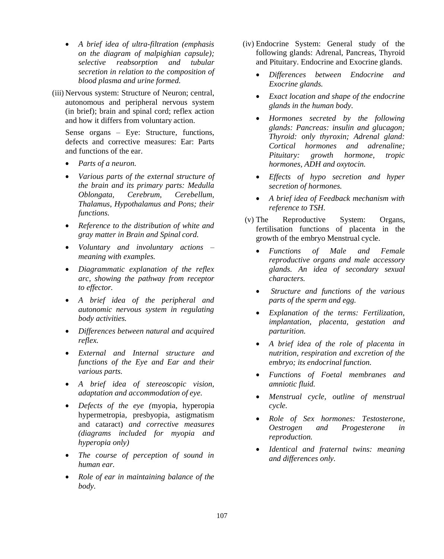- *A brief idea of ultra-filtration (emphasis on the diagram of malpighian capsule); selective reabsorption and tubular secretion in relation to the composition of blood plasma and urine formed.*
- (iii) Nervous system: Structure of Neuron; central, autonomous and peripheral nervous system (in brief); brain and spinal cord; reflex action and how it differs from voluntary action.

Sense organs – Eye: Structure, functions, defects and corrective measures: Ear: Parts and functions of the ear.

- *Parts of a neuron.*
- *Various parts of the external structure of the brain and its primary parts: Medulla Oblongata, Cerebrum, Cerebellum, Thalamus, Hypothalamus and Pons; their functions.*
- *Reference to the distribution of white and gray matter in Brain and Spinal cord.*
- *Voluntary and involuntary actions – meaning with examples.*
- *Diagrammatic explanation of the reflex arc, showing the pathway from receptor to effector.*
- *A brief idea of the peripheral and autonomic nervous system in regulating body activities.*
- *Differences between natural and acquired reflex.*
- *External and Internal structure and functions of the Eye and Ear and their various parts.*
- *A brief idea of stereoscopic vision, adaptation and accommodation of eye.*
- *Defects of the eye (*myopia, hyperopia hypermetropia, presbyopia, astigmatism and cataract) *and corrective measures (diagrams included for myopia and hyperopia only)*
- *The course of perception of sound in human ear.*
- *Role of ear in maintaining balance of the body.*
- (iv) Endocrine System: General study of the following glands: Adrenal, Pancreas, Thyroid and Pituitary. Endocrine and Exocrine glands.
	- *Differences between Endocrine and Exocrine glands.*
	- *Exact location and shape of the endocrine glands in the human body.*
	- *Hormones secreted by the following glands: Pancreas: insulin and glucagon; Thyroid: only thyroxin; Adrenal gland: Cortical hormones and adrenaline; Pituitary: growth hormone, tropic hormones, ADH and oxytocin.*
	- *Effects of hypo secretion and hyper secretion of hormones.*
	- *A brief idea of Feedback mechanism with reference to TSH.*
- (v) The Reproductive System: Organs, fertilisation functions of placenta in the growth of the embryo Menstrual cycle.
	- *Functions of Male and Female reproductive organs and male accessory glands. An idea of secondary sexual characters.*
	- *Structure and functions of the various parts of the sperm and egg.*
	- *Explanation of the terms: Fertilization, implantation, placenta, gestation and parturition.*
	- *A brief idea of the role of placenta in nutrition, respiration and excretion of the embryo; its endocrinal function.*
	- *Functions of Foetal membranes and amniotic fluid.*
	- *Menstrual cycle, outline of menstrual cycle.*
	- *Role of Sex hormones: Testosterone, Oestrogen and Progesterone in reproduction.*
	- *Identical and fraternal twins: meaning and differences only.*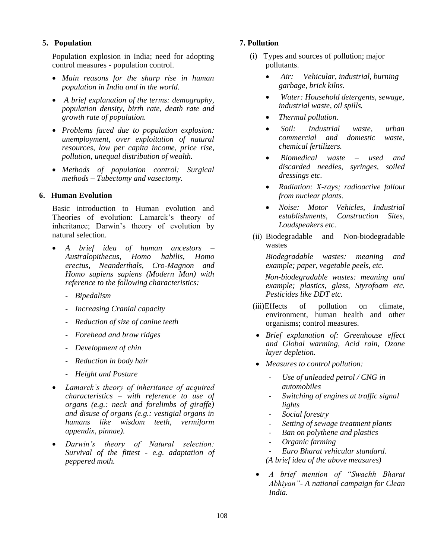#### **5. Population**

Population explosion in India; need for adopting control measures - population control.

- *Main reasons for the sharp rise in human population in India and in the world.*
- *A brief explanation of the terms: demography, population density, birth rate, death rate and growth rate of population.*
- *Problems faced due to population explosion: unemployment, over exploitation of natural resources, low per capita income, price rise, pollution, unequal distribution of wealth.*
- *Methods of population control: Surgical methods – Tubectomy and vasectomy.*

#### **6. Human Evolution**

Basic introduction to Human evolution and Theories of evolution: Lamarck's theory of inheritance; Darwin's theory of evolution by natural selection.

- *A brief idea of human ancestors – Australopithecus, Homo habilis, Homo erectus, Neanderthals, Cro-Magnon and Homo sapiens sapiens (Modern Man) with reference to the following characteristics:*
	- *Bipedalism*
	- *Increasing Cranial capacity*
	- *Reduction of size of canine teeth*
	- *Forehead and brow ridges*
	- *Development of chin*
	- *Reduction in body hair*
	- *Height and Posture*
- *Lamarck's theory of inheritance of acquired characteristics – with reference to use of organs (e.g.: neck and forelimbs of giraffe) and disuse of organs (e.g.: vestigial organs in humans like wisdom teeth, vermiform appendix, pinnae).*
- *Darwin's theory of Natural selection: Survival of the fittest - e.g. adaptation of peppered moth.*

#### **7. Pollution**

- (i) Types and sources of pollution; major pollutants.
	- *Air: Vehicular, industrial, burning garbage, brick kilns.*
	- *Water: Household detergents, sewage, industrial waste, oil spills.*
	- *Thermal pollution.*
	- *Soil: Industrial waste, urban commercial and domestic waste, chemical fertilizers.*
	- *Biomedical waste – used and discarded needles, syringes, soiled dressings etc.*
	- *Radiation: X-rays; radioactive fallout from nuclear plants.*
	- *Noise: Motor Vehicles, Industrial establishments, Construction Sites, Loudspeakers etc.*
- (ii) Biodegradable and Non-biodegradable wastes

*Biodegradable wastes: meaning and example; paper, vegetable peels, etc.*

*Non-biodegradable wastes: meaning and example; plastics, glass, Styrofoam etc. Pesticides like DDT etc.*

- (iii)Effects of pollution on climate, environment, human health and other organisms; control measures.
- *Brief explanation of: Greenhouse effect and Global warming*, *Acid rain, Ozone layer depletion.*
- *Measures to control pollution:*
	- *Use of unleaded petrol / CNG in automobiles*
	- *Switching of engines at traffic signal lights*
	- *Social forestry*
	- *Setting of sewage treatment plants*
	- *Ban on polythene and plastics*
	- *Organic farming*
	- *Euro Bharat vehicular standard.*
	- *(A brief idea of the above measures)*
- *A brief mention of "Swachh Bharat Abhiyan"- A national campaign for Clean India.*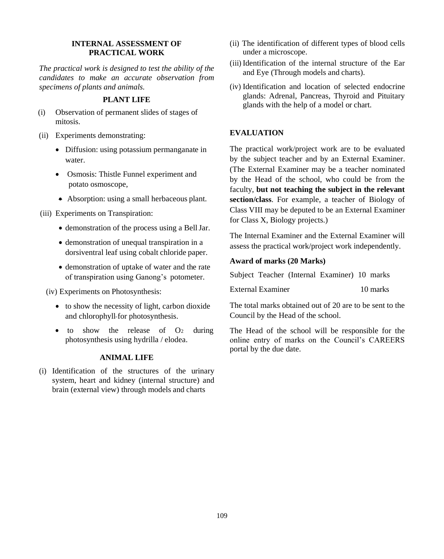## **INTERNAL ASSESSMENT OF PRACTICAL WORK**

*The practical work is designed to test the ability of the candidates to make an accurate observation from specimens of plants and animals.*

#### **PLANT LIFE**

- (i) Observation of permanent slides of stages of mitosis.
- (ii) Experiments demonstrating:
	- Diffusion: using potassium permanganate in water.
	- Osmosis: Thistle Funnel experiment and potato osmoscope,
	- Absorption: using a small herbaceous plant.
- (iii) Experiments on Transpiration:
	- demonstration of the process using a BellJar.
	- demonstration of unequal transpiration in a dorsiventral leaf using cobalt chloride paper.
	- demonstration of uptake of water and the rate of transpiration using Ganong's potometer.

(iv) Experiments on Photosynthesis:

- to show the necessity of light, carbon dioxide and chlorophyll for photosynthesis.
- to show the release of  $O<sub>2</sub>$  during photosynthesis using hydrilla / elodea.

## **ANIMAL LIFE**

(i) Identification of the structures of the urinary system, heart and kidney (internal structure) and brain (external view) through models and charts

- (ii) The identification of different types of blood cells under a microscope.
- (iii) Identification of the internal structure of the Ear and Eye (Through models and charts).
- (iv) Identification and location of selected endocrine glands: Adrenal, Pancreas, Thyroid and Pituitary glands with the help of a model or chart.

## **EVALUATION**

The practical work/project work are to be evaluated by the subject teacher and by an External Examiner. (The External Examiner may be a teacher nominated by the Head of the school, who could be from the faculty, **but not teaching the subject in the relevant section/class**. For example, a teacher of Biology of Class VIII may be deputed to be an External Examiner for Class X, Biology projects.)

The Internal Examiner and the External Examiner will assess the practical work/project work independently.

#### **Award of marks (20 Marks)**

Subject Teacher (Internal Examiner) 10 marks

External Examiner 10 marks

The total marks obtained out of 20 are to be sent to the Council by the Head of the school.

The Head of the school will be responsible for the online entry of marks on the Council's CAREERS portal by the due date.